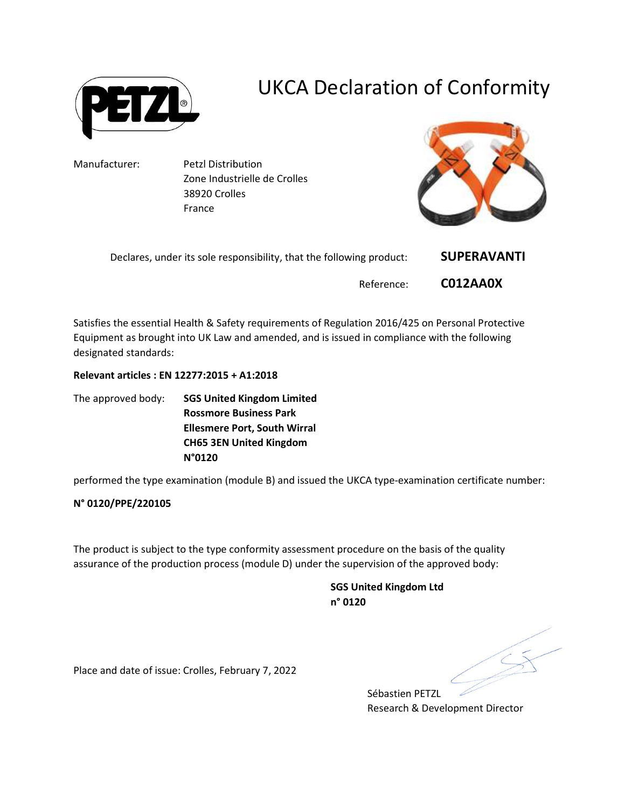

# UKCA Declaration of Conformity

Manufacturer: Petzl Distribution Zone Industrielle de Crolles 38920 Crolles France



| Declares, under its sole responsibility, that the following product: | <b>SUPERAVANTI</b> |
|----------------------------------------------------------------------|--------------------|
| Reference:                                                           | C012AA0X           |

Satisfies the essential Health & Safety requirements of Regulation 2016/425 on Personal Protective Equipment as brought into UK Law and amended, and is issued in compliance with the following designated standards:

## Relevant articles : EN 12277:2015 + A1:2018

The approved body: SGS United Kingdom Limited Rossmore Business Park Ellesmere Port, South Wirral CH65 3EN United Kingdom N°0120

performed the type examination (module B) and issued the UKCA type-examination certificate number:

## N° 0120/PPE/220105

The product is subject to the type conformity assessment procedure on the basis of the quality assurance of the production process (module D) under the supervision of the approved body:

> SGS United Kingdom Ltd n° 0120

Place and date of issue: Crolles, February 7, 2022

Sébastien PETZL Research & Development Director